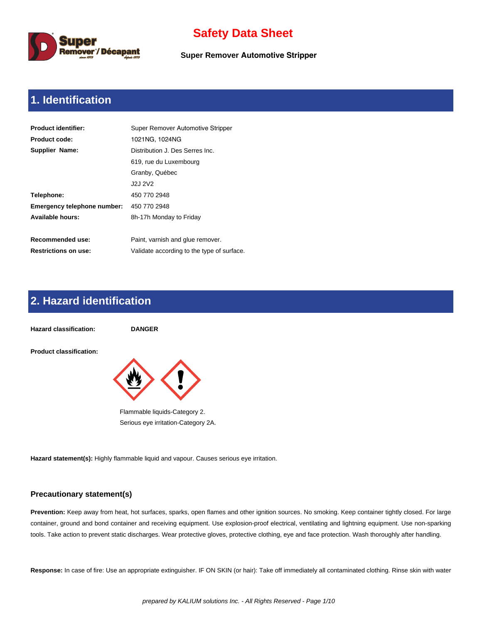

**Super Remover Automotive Stripper**

# **1. Identification**

| <b>Product identifier:</b>  | Super Remover Automotive Stripper          |
|-----------------------------|--------------------------------------------|
| <b>Product code:</b>        | 1021NG, 1024NG                             |
| Supplier Name:              | Distribution J. Des Serres Inc.            |
|                             | 619, rue du Luxembourg                     |
|                             | Granby, Québec                             |
|                             | J2J 2V2                                    |
| Telephone:                  | 450 770 2948                               |
| Emergency telephone number: | 450 770 2948                               |
| Available hours:            | 8h-17h Monday to Friday                    |
|                             |                                            |
| Recommended use:            | Paint, varnish and glue remover.           |
| <b>Restrictions on use:</b> | Validate according to the type of surface. |

# **2. Hazard identification**



**Hazard statement(s):** Highly flammable liquid and vapour. Causes serious eye irritation.

#### **Precautionary statement(s)**

**Prevention:** Keep away from heat, hot surfaces, sparks, open flames and other ignition sources. No smoking. Keep container tightly closed. For large container, ground and bond container and receiving equipment. Use explosion-proof electrical, ventilating and lightning equipment. Use non-sparking tools. Take action to prevent static discharges. Wear protective gloves, protective clothing, eye and face protection. Wash thoroughly after handling.

**Response:** In case of fire: Use an appropriate extinguisher. IF ON SKIN (or hair): Take off immediately all contaminated clothing. Rinse skin with water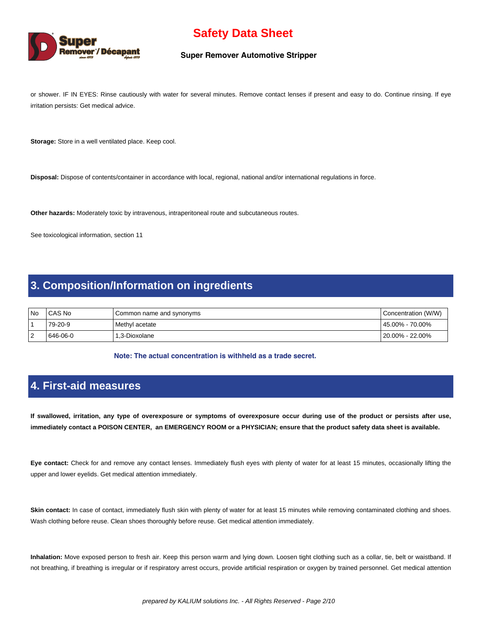

#### **Super Remover Automotive Stripper**

or shower. IF IN EYES: Rinse cautiously with water for several minutes. Remove contact lenses if present and easy to do. Continue rinsing. If eye irritation persists: Get medical advice.

**Storage:** Store in a well ventilated place. Keep cool.

**Disposal:** Dispose of contents/container in accordance with local, regional, national and/or international regulations in force.

**Other hazards:** Moderately toxic by intravenous, intraperitoneal route and subcutaneous routes.

See toxicological information, section 11

### **3. Composition/Information on ingredients**

| l No     | CAS No   | Common name and synonyms | Concentration (W/W) |
|----------|----------|--------------------------|---------------------|
|          | 79-20-9  | Methyl acetate           | l 45.00% - 70.00%   |
| - 2<br>∼ | 646-06-0 | 1.3-Dioxolane            | l 20.00% - 22.00%   |

**Note: The actual concentration is withheld as a trade secret.** 

### **4. First-aid measures**

**If swallowed, irritation, any type of overexposure or symptoms of overexposure occur during use of the product or persists after use, immediately contact a POISON CENTER, an EMERGENCY ROOM or a PHYSICIAN; ensure that the product safety data sheet is available.**

**Eye contact:** Check for and remove any contact lenses. Immediately flush eyes with plenty of water for at least 15 minutes, occasionally lifting the upper and lower eyelids. Get medical attention immediately.

Skin contact: In case of contact, immediately flush skin with plenty of water for at least 15 minutes while removing contaminated clothing and shoes. Wash clothing before reuse. Clean shoes thoroughly before reuse. Get medical attention immediately.

**Inhalation:** Move exposed person to fresh air. Keep this person warm and lying down. Loosen tight clothing such as a collar, tie, belt or waistband. If not breathing, if breathing is irregular or if respiratory arrest occurs, provide artificial respiration or oxygen by trained personnel. Get medical attention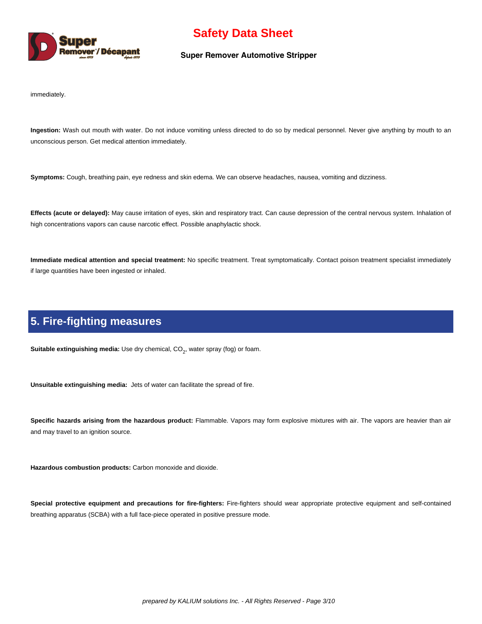

#### **Super Remover Automotive Stripper**

immediately.

**Ingestion:** Wash out mouth with water. Do not induce vomiting unless directed to do so by medical personnel. Never give anything by mouth to an unconscious person. Get medical attention immediately.

**Symptoms:** Cough, breathing pain, eye redness and skin edema. We can observe headaches, nausea, vomiting and dizziness.

**Effects (acute or delayed):** May cause irritation of eyes, skin and respiratory tract. Can cause depression of the central nervous system. Inhalation of high concentrations vapors can cause narcotic effect. Possible anaphylactic shock.

**Immediate medical attention and special treatment:** No specific treatment. Treat symptomatically. Contact poison treatment specialist immediately if large quantities have been ingested or inhaled.

### **5. Fire-fighting measures**

**Suitable extinguishing media:** Use dry chemical, CO<sub>2</sub>, water spray (fog) or foam.

**Unsuitable extinguishing media:** Jets of water can facilitate the spread of fire.

**Specific hazards arising from the hazardous product:** Flammable. Vapors may form explosive mixtures with air. The vapors are heavier than air and may travel to an ignition source.

**Hazardous combustion products:** Carbon monoxide and dioxide.

**Special protective equipment and precautions for fire-fighters:** Fire-fighters should wear appropriate protective equipment and self-contained breathing apparatus (SCBA) with a full face-piece operated in positive pressure mode.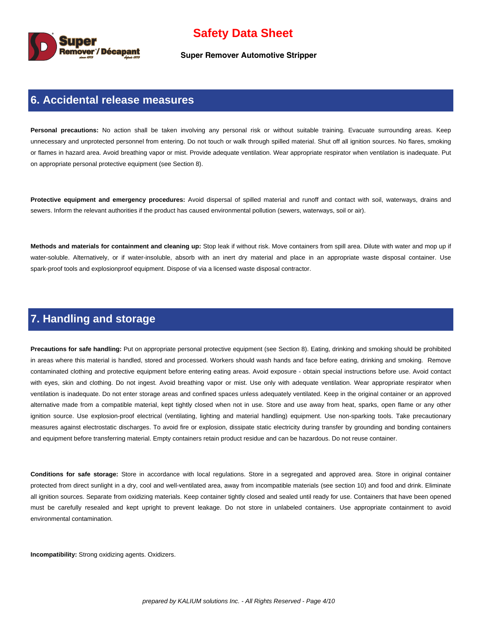

**Super Remover Automotive Stripper**

#### **6. Accidental release measures**

Personal precautions: No action shall be taken involving any personal risk or without suitable training. Evacuate surrounding areas. Keep unnecessary and unprotected personnel from entering. Do not touch or walk through spilled material. Shut off all ignition sources. No flares, smoking or flames in hazard area. Avoid breathing vapor or mist. Provide adequate ventilation. Wear appropriate respirator when ventilation is inadequate. Put on appropriate personal protective equipment (see Section 8).

**Protective equipment and emergency procedures:** Avoid dispersal of spilled material and runoff and contact with soil, waterways, drains and sewers. Inform the relevant authorities if the product has caused environmental pollution (sewers, waterways, soil or air).

**Methods and materials for containment and cleaning up:** Stop leak if without risk. Move containers from spill area. Dilute with water and mop up if water-soluble. Alternatively, or if water-insoluble, absorb with an inert dry material and place in an appropriate waste disposal container. Use spark-proof tools and explosionproof equipment. Dispose of via a licensed waste disposal contractor.

### **7. Handling and storage**

**Precautions for safe handling:** Put on appropriate personal protective equipment (see Section 8). Eating, drinking and smoking should be prohibited in areas where this material is handled, stored and processed. Workers should wash hands and face before eating, drinking and smoking. Remove contaminated clothing and protective equipment before entering eating areas. Avoid exposure - obtain special instructions before use. Avoid contact with eyes, skin and clothing. Do not ingest. Avoid breathing vapor or mist. Use only with adequate ventilation. Wear appropriate respirator when ventilation is inadequate. Do not enter storage areas and confined spaces unless adequately ventilated. Keep in the original container or an approved alternative made from a compatible material, kept tightly closed when not in use. Store and use away from heat, sparks, open flame or any other ignition source. Use explosion-proof electrical (ventilating, lighting and material handling) equipment. Use non-sparking tools. Take precautionary measures against electrostatic discharges. To avoid fire or explosion, dissipate static electricity during transfer by grounding and bonding containers and equipment before transferring material. Empty containers retain product residue and can be hazardous. Do not reuse container.

**Conditions for safe storage:** Store in accordance with local regulations. Store in a segregated and approved area. Store in original container protected from direct sunlight in a dry, cool and well-ventilated area, away from incompatible materials (see section 10) and food and drink. Eliminate all ignition sources. Separate from oxidizing materials. Keep container tightly closed and sealed until ready for use. Containers that have been opened must be carefully resealed and kept upright to prevent leakage. Do not store in unlabeled containers. Use appropriate containment to avoid environmental contamination.

**Incompatibility:** Strong oxidizing agents. Oxidizers.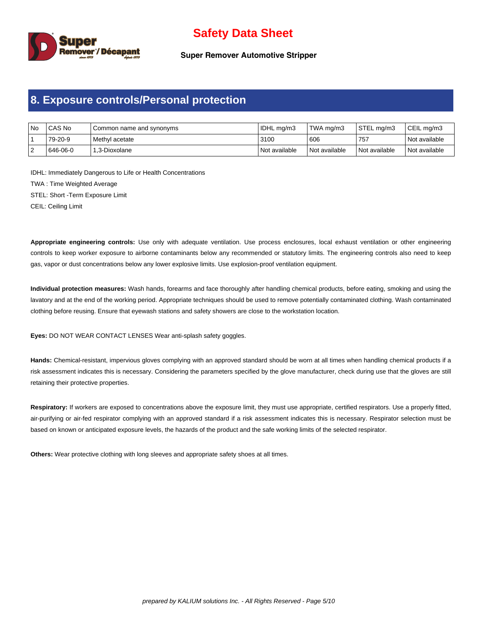

**Super Remover Automotive Stripper**

### **8. Exposure controls/Personal protection**

| No | l CAS No | I Common name and synonyms | IDHL mg/m3    | TWA ma/m3       | STEL ma/m3    | CEIL ma/m3      |
|----|----------|----------------------------|---------------|-----------------|---------------|-----------------|
|    | 79-20-9  | l Methvl acetate           | 3100          | 606             | 757           | l Not available |
| ▵  | 646-06-0 | l 1.3-Dioxolane            | Not available | l Not available | Not available | l Not available |

IDHL: Immediately Dangerous to Life or Health Concentrations TWA : Time Weighted Average STEL: Short -Term Exposure Limit

CEIL: Ceiling Limit

**Appropriate engineering controls:** Use only with adequate ventilation. Use process enclosures, local exhaust ventilation or other engineering controls to keep worker exposure to airborne contaminants below any recommended or statutory limits. The engineering controls also need to keep gas, vapor or dust concentrations below any lower explosive limits. Use explosion-proof ventilation equipment.

**Individual protection measures:** Wash hands, forearms and face thoroughly after handling chemical products, before eating, smoking and using the lavatory and at the end of the working period. Appropriate techniques should be used to remove potentially contaminated clothing. Wash contaminated clothing before reusing. Ensure that eyewash stations and safety showers are close to the workstation location.

**Eyes:** DO NOT WEAR CONTACT LENSES Wear anti-splash safety goggles.

**Hands:** Chemical-resistant, impervious gloves complying with an approved standard should be worn at all times when handling chemical products if a risk assessment indicates this is necessary. Considering the parameters specified by the glove manufacturer, check during use that the gloves are still retaining their protective properties.

Respiratory: If workers are exposed to concentrations above the exposure limit, they must use appropriate, certified respirators. Use a properly fitted, air-purifying or air-fed respirator complying with an approved standard if a risk assessment indicates this is necessary. Respirator selection must be based on known or anticipated exposure levels, the hazards of the product and the safe working limits of the selected respirator.

**Others:** Wear protective clothing with long sleeves and appropriate safety shoes at all times.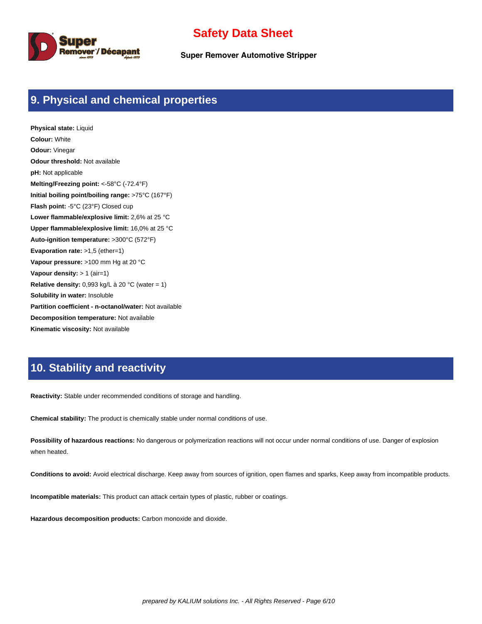

**Super Remover Automotive Stripper**

### **9. Physical and chemical properties**

**Physical state:** Liquid **Colour:** White **Odour:** Vinegar **Odour threshold:** Not available **pH:** Not applicable **Melting/Freezing point:** <-58°C (-72.4°F) **Initial boiling point/boiling range:** >75°C (167°F) **Flash point:** -5°C (23°F) Closed cup **Lower flammable/explosive limit:** 2,6% at 25 °C **Upper flammable/explosive limit:** 16,0% at 25 °C **Auto-ignition temperature:** >300°C (572°F) **Evaporation rate:** >1,5 (ether=1) **Vapour pressure:** >100 mm Hg at 20 °C **Vapour density:** > 1 (air=1) **Relative density:** 0,993 kg/L à 20 °C (water = 1) **Solubility in water:** Insoluble **Partition coefficient - n-octanol/water:** Not available **Decomposition temperature:** Not available **Kinematic viscosity:** Not available

### **10. Stability and reactivity**

**Reactivity:** Stable under recommended conditions of storage and handling.

**Chemical stability:** The product is chemically stable under normal conditions of use.

**Possibility of hazardous reactions:** No dangerous or polymerization reactions will not occur under normal conditions of use. Danger of explosion when heated.

**Conditions to avoid:** Avoid electrical discharge. Keep away from sources of ignition, open flames and sparks, Keep away from incompatible products.

**Incompatible materials:** This product can attack certain types of plastic, rubber or coatings.

**Hazardous decomposition products:** Carbon monoxide and dioxide.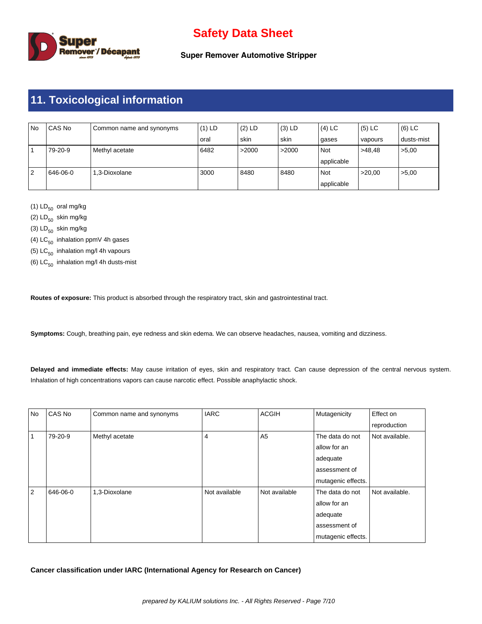

**Super Remover Automotive Stripper**

# **11. Toxicological information**

| No | CAS No   | Common name and synonyms | $(1)$ LD | $(2)$ LD | $(3)$ LD | $(4)$ LC   | $(5)$ LC | (6) LC     |
|----|----------|--------------------------|----------|----------|----------|------------|----------|------------|
|    |          |                          | oral     | skin     | skin     | gases      | vapours  | dusts-mist |
|    | 79-20-9  | Methyl acetate           | 6482     | >2000    | >2000    | Not        | >48.48   | >5,00      |
|    |          |                          |          |          |          | applicable |          |            |
| 2  | 646-06-0 | 1.3-Dioxolane            | 3000     | 8480     | 8480     | Not        | >20.00   | >5,00      |
|    |          |                          |          |          |          | applicable |          |            |

(1)  $LD_{50}$  oral mg/kg

(2)  $LD_{50}$  skin mg/kg

(3)  $LD_{50}$  skin mg/kg

(4)  $LC_{50}$  inhalation ppmV 4h gases

(5)  $LC_{50}$  inhalation mg/l 4h vapours

(6)  $LC_{50}$  inhalation mg/l 4h dusts-mist

**Routes of exposure:** This product is absorbed through the respiratory tract, skin and gastrointestinal tract.

**Symptoms:** Cough, breathing pain, eye redness and skin edema. We can observe headaches, nausea, vomiting and dizziness.

**Delayed and immediate effects:** May cause irritation of eyes, skin and respiratory tract. Can cause depression of the central nervous system. Inhalation of high concentrations vapors can cause narcotic effect. Possible anaphylactic shock.

| No | CAS No   | Common name and synonyms | <b>IARC</b>   | <b>ACGIH</b>   | Mutagenicity       | Effect on      |
|----|----------|--------------------------|---------------|----------------|--------------------|----------------|
|    |          |                          |               |                |                    | reproduction   |
|    | 79-20-9  | Methyl acetate           | 4             | A <sub>5</sub> | The data do not    | Not available. |
|    |          |                          |               |                | allow for an       |                |
|    |          |                          |               |                | adequate           |                |
|    |          |                          |               |                | assessment of      |                |
|    |          |                          |               |                | mutagenic effects. |                |
| 2  | 646-06-0 | 1,3-Dioxolane            | Not available | Not available  | The data do not    | Not available. |
|    |          |                          |               |                | allow for an       |                |
|    |          |                          |               |                | adequate           |                |
|    |          |                          |               |                | assessment of      |                |
|    |          |                          |               |                | mutagenic effects. |                |

**Cancer classification under IARC (International Agency for Research on Cancer)**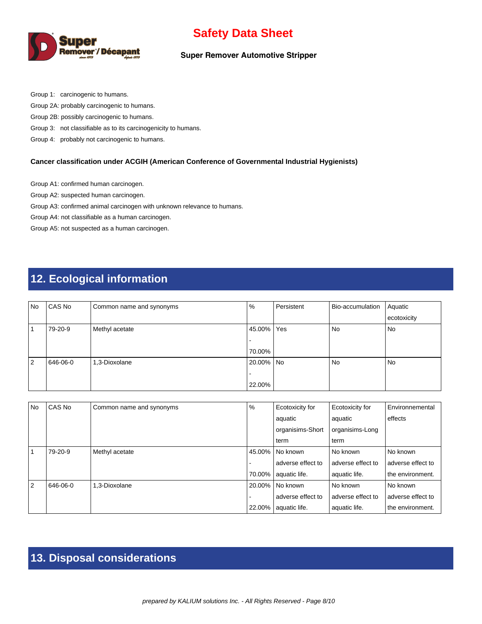

#### **Super Remover Automotive Stripper**

Group 1: carcinogenic to humans.

Group 2A: probably carcinogenic to humans.

Group 2B: possibly carcinogenic to humans.

Group 3: not classifiable as to its carcinogenicity to humans.

Group 4: probably not carcinogenic to humans.

#### **Cancer classification under ACGIH (American Conference of Governmental Industrial Hygienists)**

Group A1: confirmed human carcinogen.

Group A2: suspected human carcinogen.

Group A3: confirmed animal carcinogen with unknown relevance to humans.

Group A4: not classifiable as a human carcinogen.

Group A5: not suspected as a human carcinogen.

# **12. Ecological information**

| <b>No</b> | CAS No   | Common name and synonyms | %         | Persistent | Bio-accumulation | Aquatic     |
|-----------|----------|--------------------------|-----------|------------|------------------|-------------|
|           |          |                          |           |            |                  | ecotoxicity |
|           | 79-20-9  | Methyl acetate           | 45.00%    | Yes        | No               | No          |
|           |          |                          |           |            |                  |             |
|           |          |                          | 70.00%    |            |                  |             |
| ا 2       | 646-06-0 | 1,3-Dioxolane            | 20.00% No |            | N <sub>o</sub>   | No          |
|           |          |                          |           |            |                  |             |
|           |          |                          | 22.00%    |            |                  |             |

| <b>No</b>      | CAS No   | Common name and synonyms | $\%$   | Ecotoxicity for   | Ecotoxicity for   | Environnemental   |
|----------------|----------|--------------------------|--------|-------------------|-------------------|-------------------|
|                |          |                          |        | aquatic           | aquatic           | effects           |
|                |          |                          |        | organisims-Short  | organisims-Long   |                   |
|                |          |                          |        | term              | term              |                   |
|                | 79-20-9  | Methyl acetate           | 45.00% | l No known        | l No known        | No known          |
|                |          |                          |        | adverse effect to | adverse effect to | adverse effect to |
|                |          |                          | 70.00% | aquatic life.     | aquatic life.     | the environment.  |
| $\overline{2}$ | 646-06-0 | 1.3-Dioxolane            | 20.00% | l No known        | l No known        | No known          |
|                |          |                          |        | adverse effect to | adverse effect to | adverse effect to |
|                |          |                          | 22.00% | aquatic life.     | aquatic life.     | the environment.  |

# **13. Disposal considerations**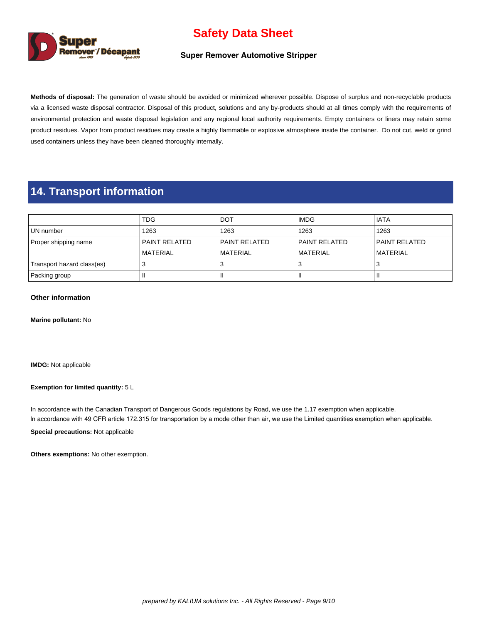

#### **Super Remover Automotive Stripper**

**Methods of disposal:** The generation of waste should be avoided or minimized wherever possible. Dispose of surplus and non-recyclable products via a licensed waste disposal contractor. Disposal of this product, solutions and any by-products should at all times comply with the requirements of environmental protection and waste disposal legislation and any regional local authority requirements. Empty containers or liners may retain some product residues. Vapor from product residues may create a highly flammable or explosive atmosphere inside the container. Do not cut, weld or grind used containers unless they have been cleaned thoroughly internally.

### **14. Transport information**

|                            | <b>TDG</b>           | <b>DOT</b>      | <b>IMDG</b>      | l IATA          |
|----------------------------|----------------------|-----------------|------------------|-----------------|
| UN number                  | 1263                 | 1263            | 1263             | 1263            |
| Proper shipping name       | <b>PAINT RELATED</b> | l PAINT RELATED | l PAINT RELATED  | l PAINT RELATED |
|                            | <b>MATERIAL</b>      | l MATERIAL      | <b>IMATERIAL</b> | l MATERIAL      |
| Transport hazard class(es) |                      |                 |                  |                 |
| Packing group              |                      |                 |                  |                 |

#### **Other information**

**Marine pollutant:** No

**IMDG:** Not applicable

#### **Exemption for limited quantity:** 5 L

In accordance with the Canadian Transport of Dangerous Goods regulations by Road, we use the 1.17 exemption when applicable. In accordance with 49 CFR article 172.315 for transportation by a mode other than air, we use the Limited quantities exemption when applicable.

**Special precautions:** Not applicable

**Others exemptions:** No other exemption.